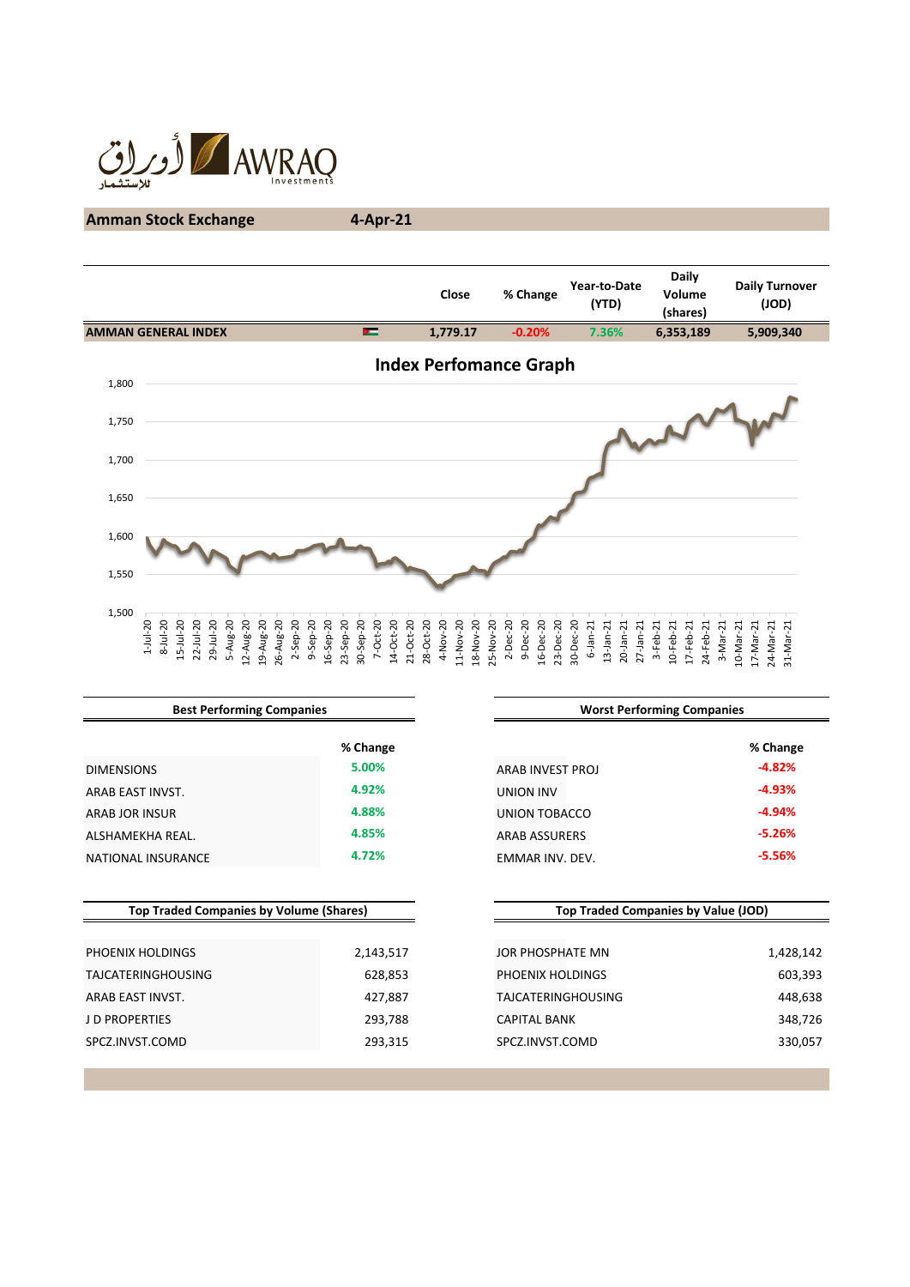

# **Amman Stock Exchange 4-Apr-21**

|       |                                                                        |           |                       |           |                          |            |                        |           |            |           |             |           | Close                 |           |           |              | % Change              |           |           | Year-to-Date<br>(YTD)          |              |                              |           | <b>Daily</b><br>Volume<br>(shares) |           |          |           | <b>Daily Turnover</b><br>$($ JOD $)$ |           |  |
|-------|------------------------------------------------------------------------|-----------|-----------------------|-----------|--------------------------|------------|------------------------|-----------|------------|-----------|-------------|-----------|-----------------------|-----------|-----------|--------------|-----------------------|-----------|-----------|--------------------------------|--------------|------------------------------|-----------|------------------------------------|-----------|----------|-----------|--------------------------------------|-----------|--|
|       | <b>AMMAN GENERAL INDEX</b>                                             |           |                       |           |                          |            |                        | л         |            |           |             |           | 1,779.17              |           |           |              | $-0.20%$              |           |           | 7.36%                          |              |                              | 6,353,189 |                                    |           |          |           | 5,909,340                            |           |  |
| 1,800 | <b>Index Perfomance Graph</b>                                          |           |                       |           |                          |            |                        |           |            |           |             |           |                       |           |           |              |                       |           |           |                                |              |                              |           |                                    |           |          |           |                                      |           |  |
| 1,750 |                                                                        |           |                       |           |                          |            |                        |           |            |           |             |           |                       |           |           |              |                       |           |           |                                |              |                              |           |                                    |           |          |           |                                      |           |  |
| 1,700 |                                                                        |           |                       |           |                          |            |                        |           |            |           |             |           |                       |           |           |              |                       |           |           |                                |              |                              |           |                                    |           |          |           |                                      |           |  |
| 1,650 |                                                                        |           |                       |           |                          |            |                        |           |            |           |             |           |                       |           |           |              |                       |           |           |                                |              |                              |           |                                    |           |          |           |                                      |           |  |
| 1,600 |                                                                        |           |                       |           |                          |            |                        |           |            |           |             |           |                       |           |           |              |                       |           |           |                                |              |                              |           |                                    |           |          |           |                                      |           |  |
| 1,550 |                                                                        |           |                       |           |                          |            |                        |           |            |           |             |           |                       |           |           |              |                       |           |           |                                |              |                              |           |                                    |           |          |           |                                      |           |  |
| 1,500 | $1 - Jul - 20$<br>$8 - Jul - 20$<br>$15 - Jul - 20$<br>$22 - Jul - 20$ | 29-Jul-20 | 5-Aug-20<br>12-Aug-20 | 19-Aug-20 | $2-$ Sep-20<br>26-Aug-20 | $9-5ep-20$ | 23-Sep-20<br>16-Sep-20 | 30-Sep-20 | $7-Oct-20$ | 14-Oct-20 | $21-Oct-20$ | 28-Oct-20 | 4-Nov-20<br>11-Nov-20 | 18-Nov-20 | 25-Nov-20 | $2 - Dec-20$ | 9-Dec-20<br>16-Dec-20 | 23-Dec-20 | 30-Dec-20 | $6 - Jan - 21$<br>$13$ -Jan-21 | $20$ -Jan-21 | $27$ -Jan-21<br>$3 - Feb-21$ | 10-Feb-21 | 17-Feb-21                          | 24-Feb-21 | 3-Mar-21 | 10-Mar-21 | 17-Mar-21<br>24-Mar-21               | 31-Mar-21 |  |

|           | <b>Worst Performing Companies</b>                                                  |                                            |  |  |  |  |  |
|-----------|------------------------------------------------------------------------------------|--------------------------------------------|--|--|--|--|--|
| % Change  |                                                                                    | % Change                                   |  |  |  |  |  |
| 5.00%     | ARAB INVEST PROJ                                                                   | $-4.82%$                                   |  |  |  |  |  |
| 4.92%     | <b>UNION INV</b>                                                                   | $-4.93%$                                   |  |  |  |  |  |
| 4.88%     | <b>UNION TOBACCO</b>                                                               | $-4.94%$                                   |  |  |  |  |  |
| 4.85%     | <b>ARAB ASSURERS</b>                                                               | $-5.26%$                                   |  |  |  |  |  |
| 4.72%     | EMMAR INV. DEV.                                                                    | $-5.56%$                                   |  |  |  |  |  |
|           |                                                                                    |                                            |  |  |  |  |  |
|           |                                                                                    |                                            |  |  |  |  |  |
| 2,143,517 | JOR PHOSPHATE MN                                                                   | 1,428,142                                  |  |  |  |  |  |
| 628,853   | PHOENIX HOLDINGS                                                                   | 603,393                                    |  |  |  |  |  |
| 427,887   | <b>TAJCATERINGHOUSING</b>                                                          | 448,638                                    |  |  |  |  |  |
| 293,788   | <b>CAPITAL BANK</b>                                                                | 348,726                                    |  |  |  |  |  |
| 293,315   | SPCZ.INVST.COMD                                                                    | 330,057                                    |  |  |  |  |  |
|           | <b>Best Performing Companies</b><br><b>Top Traded Companies by Volume (Shares)</b> | <b>Top Traded Companies by Value (JOD)</b> |  |  |  |  |  |